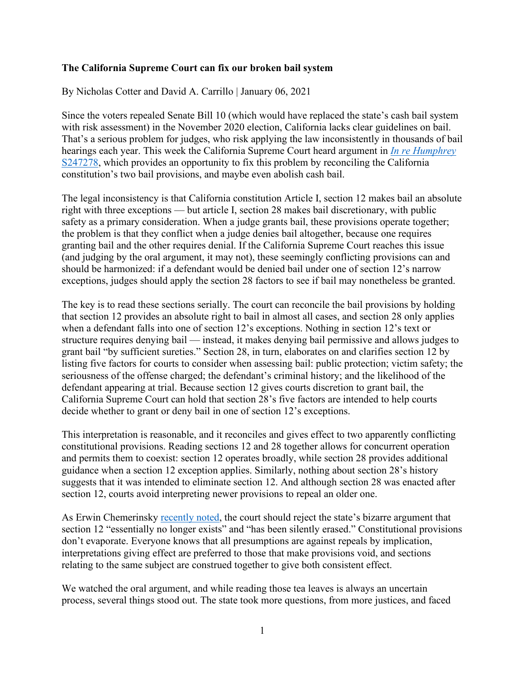## **The California Supreme Court can fix our broken bail system**

By Nicholas Cotter and David A. Carrillo | January 06, 2021

Since the voters repealed Senate Bill 10 (which would have replaced the state's cash bail system with risk assessment) in the November 2020 election, California lacks clear guidelines on bail. That's a serious problem for judges, who risk applying the law inconsistently in thousands of bail hearings each year. This week the California Supreme Court heard argument in *[In re Humphrey](https://appellatecases.courtinfo.ca.gov/search/case/mainCaseScreen.cfm?dist=0&doc_id=2245014&doc_no=S247278&request_token=NiIwLSEmTkw%2BWzBZSCNNSEpIUDw0UDxTJyMuTz1RMCAgCg%3D%3D)* [S247278,](https://appellatecases.courtinfo.ca.gov/search/case/mainCaseScreen.cfm?dist=0&doc_id=2245014&doc_no=S247278&request_token=NiIwLSEmTkw%2BWzBZSCNNSEpIUDw0UDxTJyMuTz1RMCAgCg%3D%3D) which provides an opportunity to fix this problem by reconciling the California constitution's two bail provisions, and maybe even abolish cash bail.

The legal inconsistency is that California constitution Article I, section 12 makes bail an absolute right with three exceptions — but article I, section 28 makes bail discretionary, with public safety as a primary consideration. When a judge grants bail, these provisions operate together; the problem is that they conflict when a judge denies bail altogether, because one requires granting bail and the other requires denial. If the California Supreme Court reaches this issue (and judging by the oral argument, it may not), these seemingly conflicting provisions can and should be harmonized: if a defendant would be denied bail under one of section 12's narrow exceptions, judges should apply the section 28 factors to see if bail may nonetheless be granted.

The key is to read these sections serially. The court can reconcile the bail provisions by holding that section 12 provides an absolute right to bail in almost all cases, and section 28 only applies when a defendant falls into one of section 12's exceptions. Nothing in section 12's text or structure requires denying bail — instead, it makes denying bail permissive and allows judges to grant bail "by sufficient sureties." Section 28, in turn, elaborates on and clarifies section 12 by listing five factors for courts to consider when assessing bail: public protection; victim safety; the seriousness of the offense charged; the defendant's criminal history; and the likelihood of the defendant appearing at trial. Because section 12 gives courts discretion to grant bail, the California Supreme Court can hold that section 28's five factors are intended to help courts decide whether to grant or deny bail in one of section 12's exceptions.

This interpretation is reasonable, and it reconciles and gives effect to two apparently conflicting constitutional provisions. Reading sections 12 and 28 together allows for concurrent operation and permits them to coexist: section 12 operates broadly, while section 28 provides additional guidance when a section 12 exception applies. Similarly, nothing about section 28's history suggests that it was intended to eliminate section 12. And although section 28 was enacted after section 12, courts avoid interpreting newer provisions to repeal an older one.

As Erwin Chemerinsky [recently noted,](https://www.sacbee.com/opinion/article248006860.html#storylink=hpdigest_opinion) the court should reject the state's bizarre argument that section 12 "essentially no longer exists" and "has been silently erased." Constitutional provisions don't evaporate. Everyone knows that all presumptions are against repeals by implication, interpretations giving effect are preferred to those that make provisions void, and sections relating to the same subject are construed together to give both consistent effect.

We watched the oral argument, and while reading those tea leaves is always an uncertain process, several things stood out. The state took more questions, from more justices, and faced